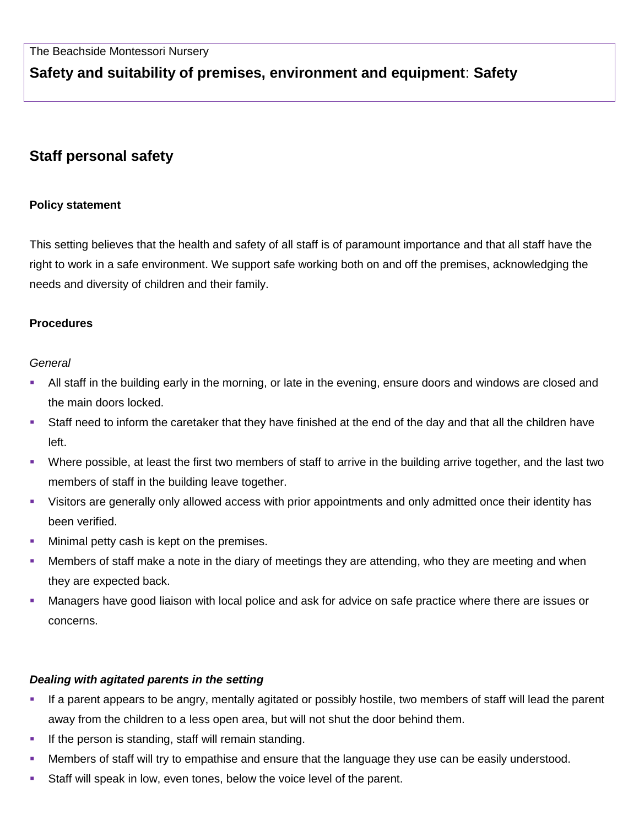# **Safety and suitability of premises, environment and equipment**: **Safety**

# **Staff personal safety**

#### **Policy statement**

This setting believes that the health and safety of all staff is of paramount importance and that all staff have the right to work in a safe environment. We support safe working both on and off the premises, acknowledging the needs and diversity of children and their family.

### **Procedures**

#### *General*

- All staff in the building early in the morning, or late in the evening, ensure doors and windows are closed and the main doors locked.
- Staff need to inform the caretaker that they have finished at the end of the day and that all the children have left.
- Where possible, at least the first two members of staff to arrive in the building arrive together, and the last two members of staff in the building leave together.
- Visitors are generally only allowed access with prior appointments and only admitted once their identity has been verified.
- **Minimal petty cash is kept on the premises.**
- Members of staff make a note in the diary of meetings they are attending, who they are meeting and when they are expected back.
- Managers have good liaison with local police and ask for advice on safe practice where there are issues or concerns.

## *Dealing with agitated parents in the setting*

- If a parent appears to be angry, mentally agitated or possibly hostile, two members of staff will lead the parent away from the children to a less open area, but will not shut the door behind them.
- **If the person is standing, staff will remain standing.**
- Members of staff will try to empathise and ensure that the language they use can be easily understood.
- Staff will speak in low, even tones, below the voice level of the parent.